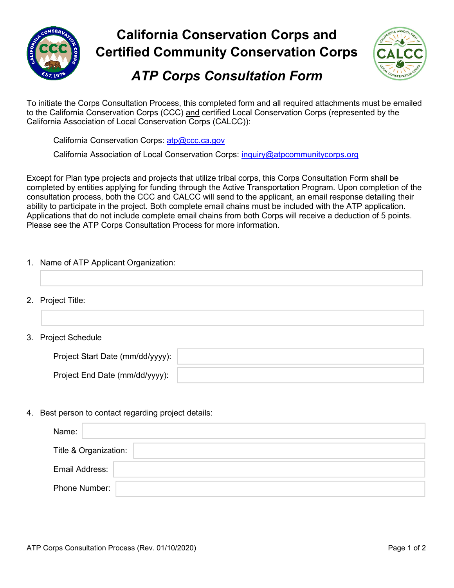

# **California Conservation Corps and Certified Community Conservation Corps**



## *ATP Corps Consultation Form*

 To initiate the Corps Consultation Process, this completed form and all required attachments must be emailed to the California Conservation Corps (CCC) <u>and</u> certified Local Conservation Corps (represented by the California Association of Local Conservation Corps (CALCC)):

California Conservation Corps: atp@ccc.ca.gov

California Association of Local Conservation Corps: inquiry@atpcommunitycorps.org

 Except for Plan type projects and projects that utilize tribal corps, this Corps Consultation Form shall be completed by entities applying for funding through the Active Transportation Program. Upon completion of the consultation process, both the CCC and CALCC will send to the applicant, an email response detailing their ability to participate in the project. Both complete email chains must be included with the ATP application. Applications that do not include complete email chains from both Corps will receive a deduction of 5 points. Please see the ATP Corps Consultation Process for more information.

#### 1. Name of ATP Applicant Organization:

- 2. Project Title:
- 3. Project Schedule

| Project Start Date (mm/dd/yyyy): |  |
|----------------------------------|--|
| Project End Date (mm/dd/yyyy):   |  |

#### 4. Best person to contact regarding project details:

| Name:                 |  |
|-----------------------|--|
| Title & Organization: |  |
| Email Address:        |  |
| Phone Number:         |  |